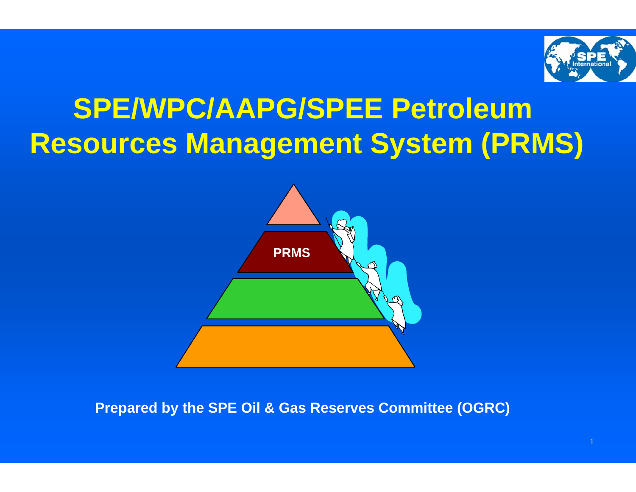

# **SPE/WPC/AAPG/SPEE Petroleum Resources Management System (PRMS)**



**Prepared by the SPE Oil & Gas Reserves Committee (OGRC)**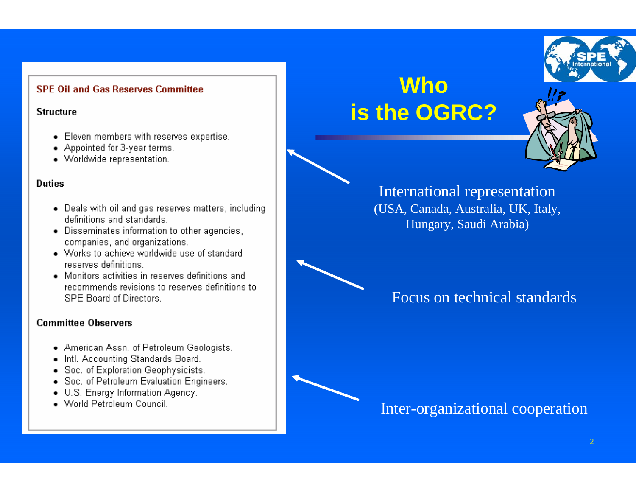#### **SPE Oil and Gas Reserves Committee**

#### **Structure**

- Eleven members with reserves expertise.
- Appointed for 3-year terms.
- Worldwide representation.

#### **Duties**

- Deals with oil and gas reserves matters, including definitions and standards.
- Disseminates information to other agencies, companies, and organizations.
- Works to achieve worldwide use of standard reserves definitions.
- Monitors activities in reserves definitions and recommends revisions to reserves definitions to SPE Board of Directors.

#### **Committee Observers**

- American Assn. of Petroleum Geologists.
- . Intl. Accounting Standards Board.
- Soc. of Exploration Geophysicists.
- Soc. of Petroleum Evaluation Engineers.
- U.S. Energy Information Agency.
- · World Petroleum Council.

## **Who is the OGRC?**



### International representation (USA, Canada, Australia, UK, Italy, Hungary, Saudi Arabia)



Inter-organizational cooperation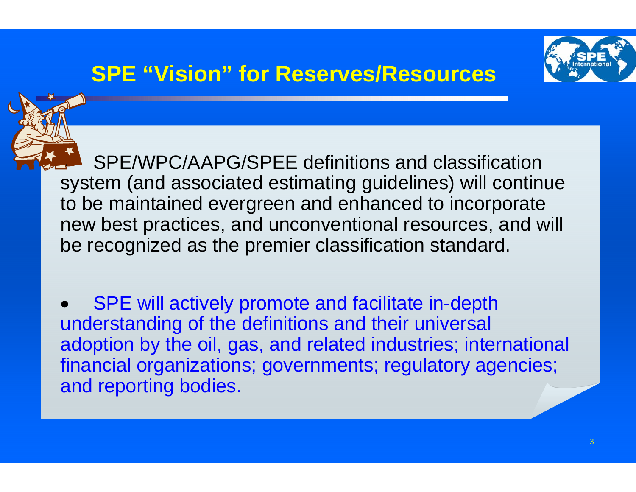### **SPE "Vision" for Reserves/Resources**



• SPE/WPC/AAPG/SPEE definitions and classification system (and associated estimating guidelines) will continue to be maintained evergreen and enhanced to incorporate new best practices, and unconventional resources, and will be recognized as the premier classification standard.

• SPE will actively promote and facilitate in-depth understanding of the definitions and their universal adoption by the oil, gas, and related industries; international financial organizations; governments; regulatory agencies; and reporting bodies.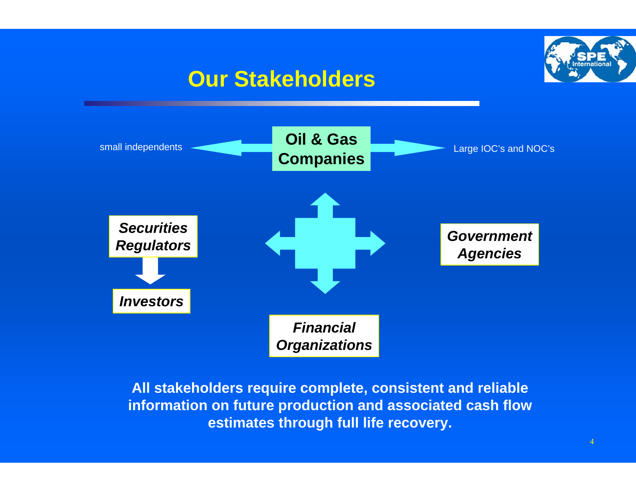### **Our Stakeholders**





**All stakeholders require complete, consistent and reliable information on future production and associated cash flow estimates through full life recovery.**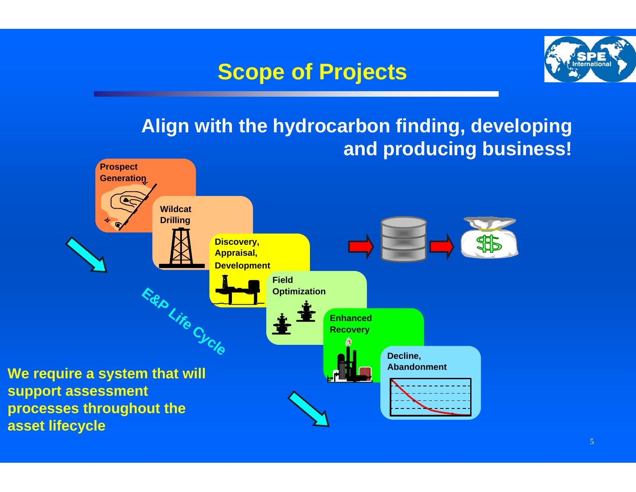## **Scope of Projects**



### **Align with the hydrocarbon finding, developing and producing business!**

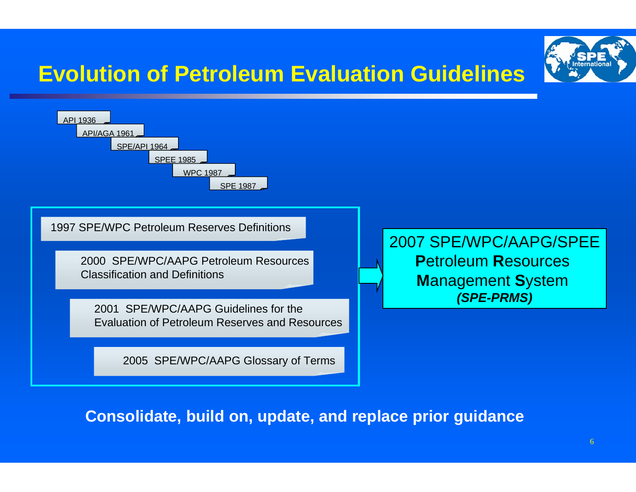# **Evolution of Petroleum Evaluation Guidelines**



**Consolidate, build on, update, and replace prior guidance** 

2005 SPE/WPC/AAPG Glossary of Terms

API 1936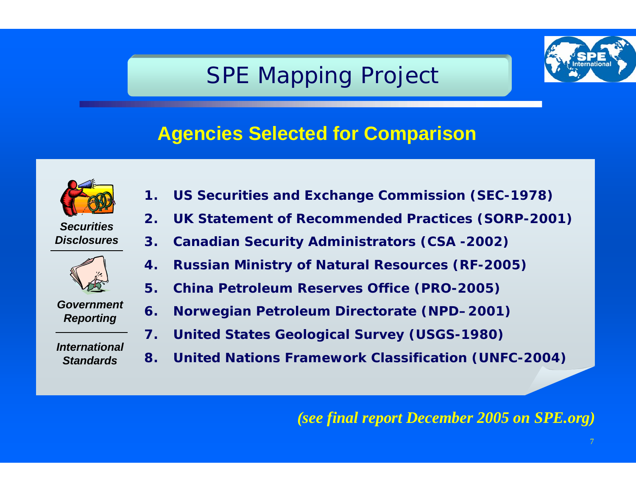## SPE Mapping Project



### **Agencies Selected for Comparison**



*SecuritiesDisclosures*



*Government Reporting*

*InternationalStandards*

- **1. US Securities and Exchange Commission (SEC-1978)**
- **2. UK Statement of Recommended Practices (SORP-2001)**
- **3. Canadian Security Administrators (CSA -2002)**
- **4. Russian Ministry of Natural Resources (RF-2005)**
- **5. China Petroleum Reserves Office (PRO-2005)**
- **6. Norwegian Petroleum Directorate (NPD–2001)**
- **7. United States Geological Survey (USGS-1980)**
- **8. United Nations Framework Classification (UNFC-2004)**

#### *(see final report December 2005 on SPE.org)*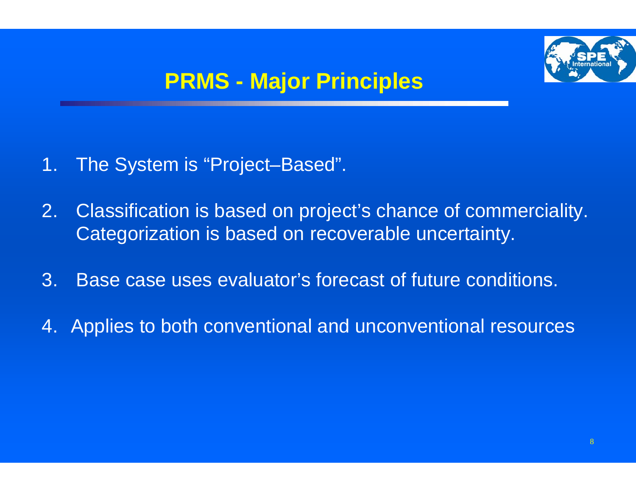

## **PRMS - Major Principles**

- 1. The System is "Project–Based".
- 2. Classification is based on project's chance of commerciality. Categorization is based on recoverable uncertainty.
- 3. Base case uses evaluator's forecast of future conditions.
- 4. Applies to both conventional and unconventional resources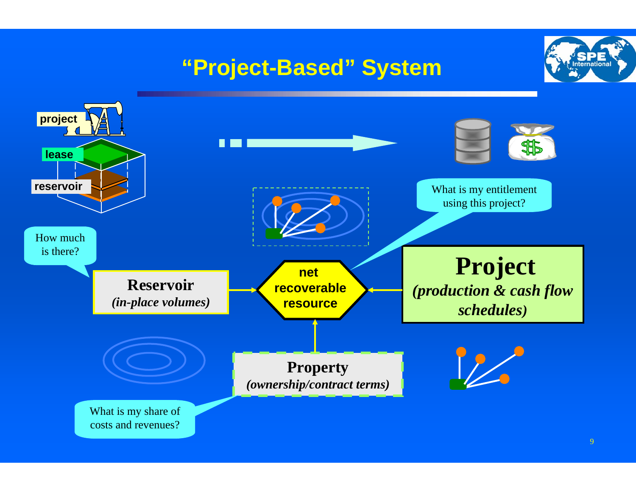## **"Project-Based" System**



**sternations**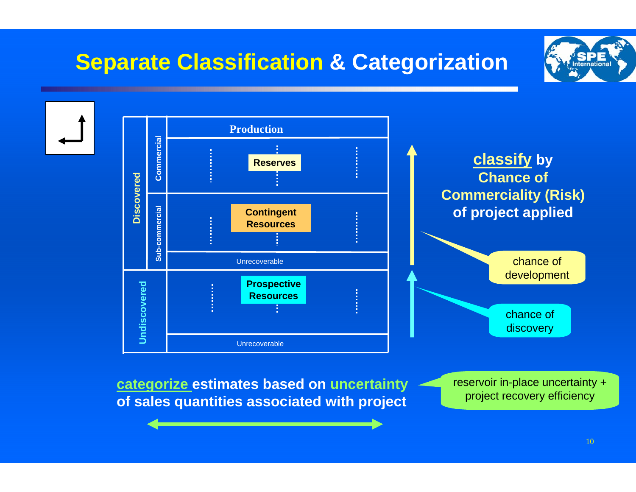## **Separate Classification & Categorization**





**of sales quantities associated with project** project recovery efficiency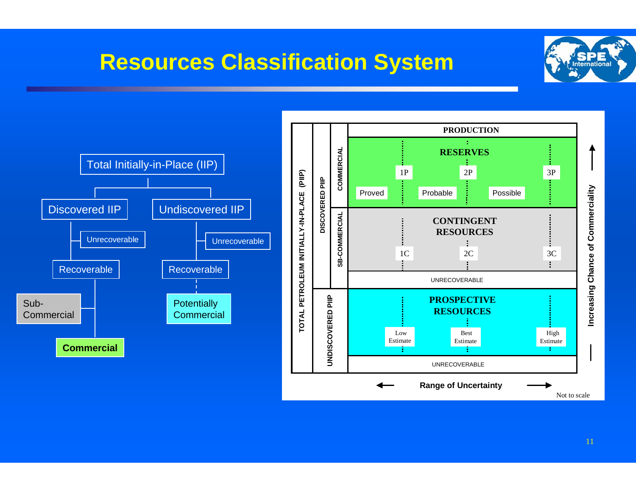### **Resources Classification System**





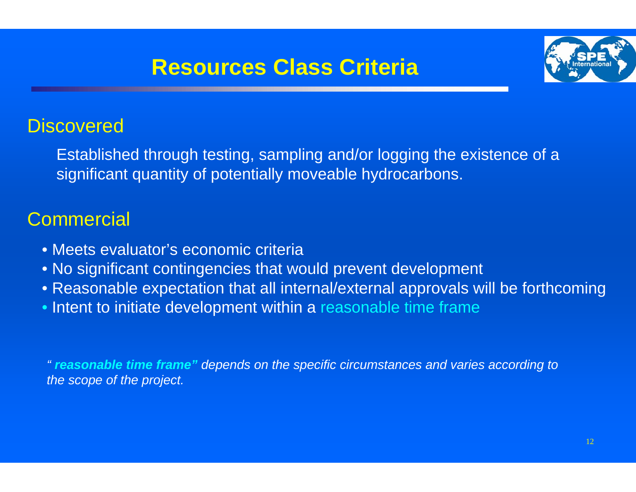### **Resources Class Criteria**



### **Discovered**

Established through testing, sampling and/or logging the existence of a significant quantity of potentially moveable hydrocarbons.

### **Commercial**

- Meets evaluator's economic criteria
- No significant contingencies that would prevent development
- Reasonable expectation that all internal/external approvals will be forthcoming
- Intent to initiate development within a reasonable time frame

*" reasonable time frame" depends on the specific circumstances and varies according to the scope of the project.*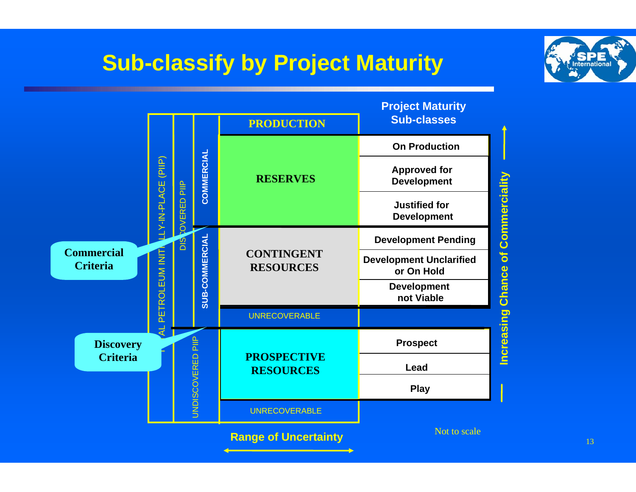## **Sub-classify by Project Maturity**



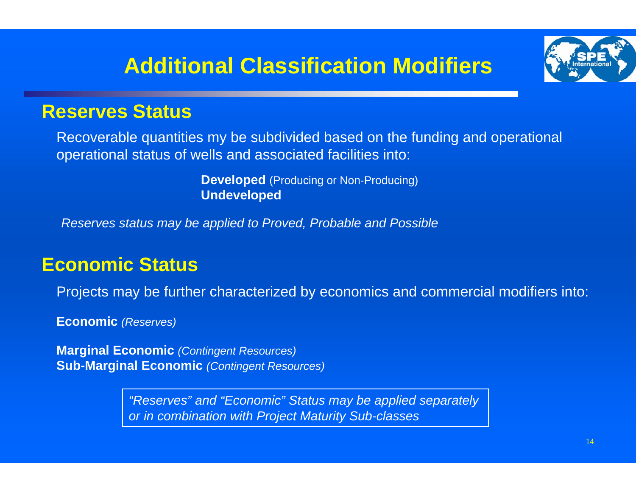## **Additional Classification Modifiers**



### **Reserves Status**

Recoverable quantities my be subdivided based on the funding and operational operational status of wells and associated facilities into:

> **Developed** (Producing or Non-Producing) **Undeveloped**

*Reserves status may be applied to Proved, Probable and Possible*

### **Economic Status**

Projects may be further characterized by economics and commercial modifiers into:

**Economic** *(Reserves)*

**Marginal Economic** *(Contingent Resources)* **Sub-Marginal Economic** *(Contingent Resources)*

> *"Reserves" and "Economic" Status may be applied separately or in combination with Project Maturity Sub-classes*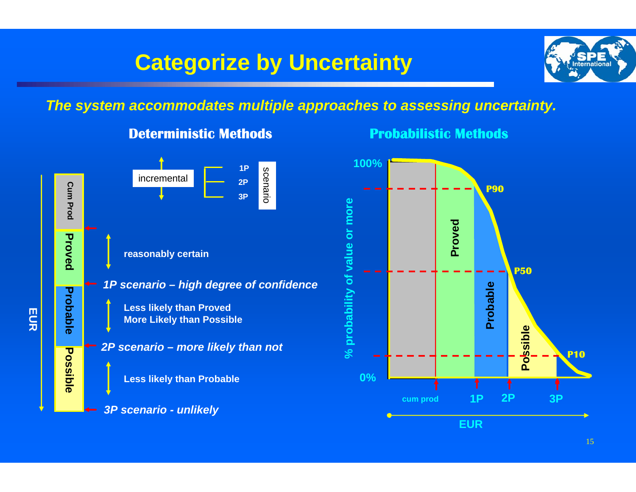### **Categorize by Uncertainty**



### *The system accommodates multiple approaches to assessing uncertainty.*



#### **Deterministic Methods**

**Probabilistic Methods**



15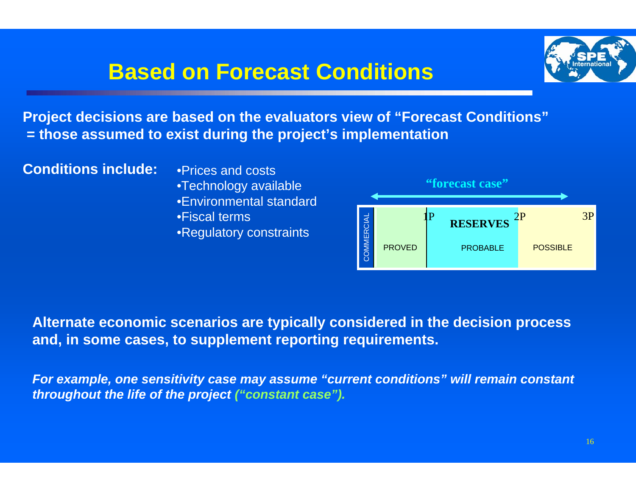### **Based on Forecast Conditions**



**Project decisions are based on the evaluators view of "Forecast Conditions" = those assumed to exist during the project's implementation**

**Conditions include:** • **• Prices and costs** 

•Technology available •Environmental standard•Fiscal terms**•Regulatory constraints** 



**Alternate economic scenarios are typically considered in the decision process and, in some cases, to supplement reporting requirements.** 

*For example, one sensitivity case may assume "current conditions" will remain constant throughout the life of the project ("constant case").*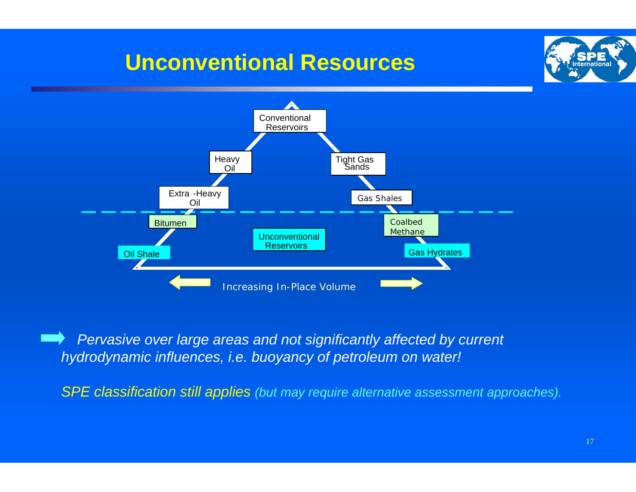### **Unconventional Resources**





*Pervasive over large areas and not significantly affected by current hydrodynamic influences, i.e. buoyancy of petroleum on water!*

*SPE classification still applies (but may require alternative assessment approaches).*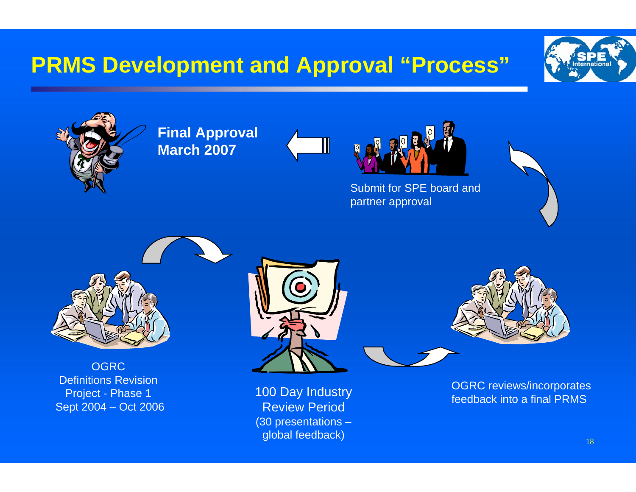## **PRMS Development and Approval "Process"**





**Final Approval March 2007**





Submit for SPE board and partner approval





**OGRC** Definitions Revision Project - Phase 1 Sept 2004 – Oct 2006



100 Day Industry Review Period(30 presentations – global feedback)



OGRC reviews/incorporates feedback into a final PRMS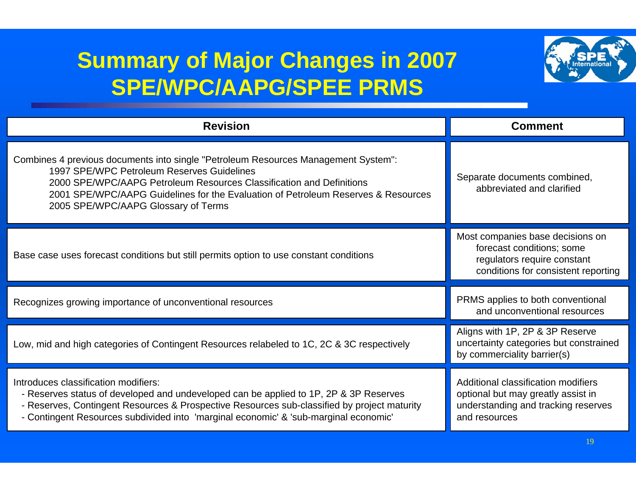## **Summary of Major Changes in 2007 SPE/WPC/AAPG/SPEE PRMS**



| <b>Revision</b>                                                                                                                                                                                                                                                                                                                      | <b>Comment</b>                                                                                                                      |
|--------------------------------------------------------------------------------------------------------------------------------------------------------------------------------------------------------------------------------------------------------------------------------------------------------------------------------------|-------------------------------------------------------------------------------------------------------------------------------------|
| Combines 4 previous documents into single "Petroleum Resources Management System":<br>1997 SPE/WPC Petroleum Reserves Guidelines<br>2000 SPE/WPC/AAPG Petroleum Resources Classification and Definitions<br>2001 SPE/WPC/AAPG Guidelines for the Evaluation of Petroleum Reserves & Resources<br>2005 SPE/WPC/AAPG Glossary of Terms | Separate documents combined,<br>abbreviated and clarified                                                                           |
| Base case uses forecast conditions but still permits option to use constant conditions                                                                                                                                                                                                                                               | Most companies base decisions on<br>forecast conditions; some<br>regulators require constant<br>conditions for consistent reporting |
| Recognizes growing importance of unconventional resources                                                                                                                                                                                                                                                                            | PRMS applies to both conventional<br>and unconventional resources                                                                   |
| Low, mid and high categories of Contingent Resources relabeled to 1C, 2C & 3C respectively                                                                                                                                                                                                                                           | Aligns with 1P, 2P & 3P Reserve<br>uncertainty categories but constrained<br>by commerciality barrier(s)                            |
| Introduces classification modifiers:<br>- Reserves status of developed and undeveloped can be applied to 1P, 2P & 3P Reserves<br>- Reserves, Contingent Resources & Prospective Resources sub-classified by project maturity<br>- Contingent Resources subdivided into 'marginal economic' & 'sub-marginal economic'                 | Additional classification modifiers<br>optional but may greatly assist in<br>understanding and tracking reserves<br>and resources   |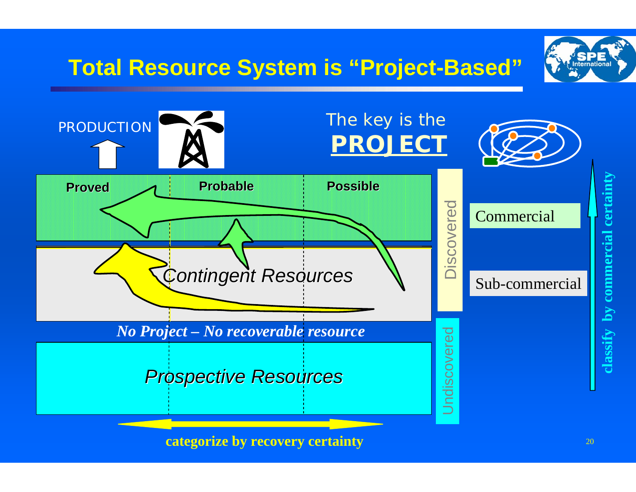

**categorize by recovery certainty**